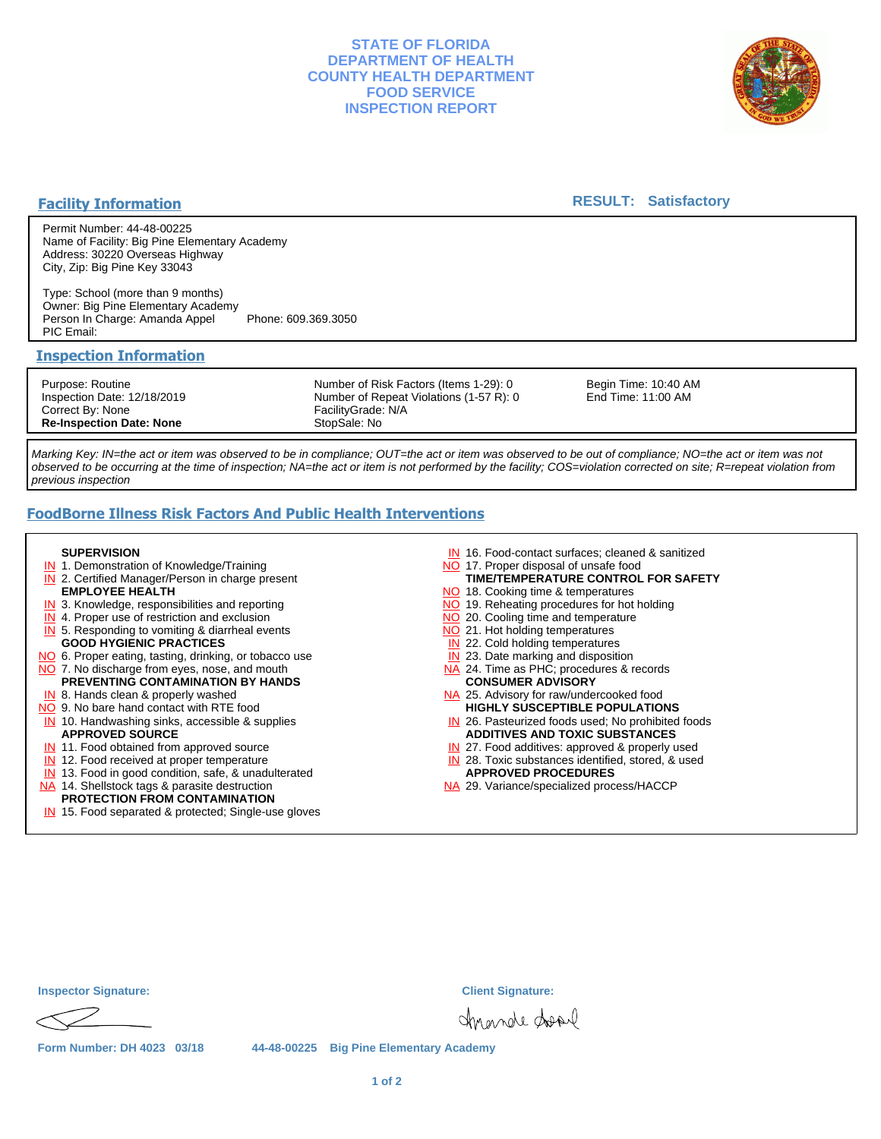## **STATE OF FLORIDA DEPARTMENT OF HEALTH COUNTY HEALTH DEPARTMENT FOOD SERVICE INSPECTION REPORT**



## **Facility Information**

## **RESULT: Satisfactory**

Permit Number: 44-48-00225 Name of Facility: Big Pine Elementary Academy Address: 30220 Overseas Highway City, Zip: Big Pine Key 33043

Type: School (more than 9 months) Owner: Big Pine Elementary Academy Person In Charge: Amanda Appel Phone: 609.369.3050 PIC Email:

## **Inspection Information**

Purpose: Routine Inspection Date: 12/18/2019 Correct By: None **Re-Inspection Date: None**

Number of Risk Factors (Items 1-29): 0 Number of Repeat Violations (1-57 R): 0 FacilityGrade: N/A StopSale: No

Begin Time: 10:40 AM End Time: 11:00 AM

Marking Key: IN=the act or item was observed to be in compliance; OUT=the act or item was observed to be out of compliance; NO=the act or item was not observed to be occurring at the time of inspection; NA=the act or item is not performed by the facility; COS=violation corrected on site; R=repeat violation from previous inspection

# **FoodBorne Illness Risk Factors And Public Health Interventions**

#### **SUPERVISION**

- **IN** 1. Demonstration of Knowledge/Training
- **IN** 2. Certified Manager/Person in charge present **EMPLOYEE HEALTH**
- **IN** 3. Knowledge, responsibilities and reporting
- **IN** 4. Proper use of restriction and exclusion
- **IN** 5. Responding to vomiting & diarrheal events
- **GOOD HYGIENIC PRACTICES**
- NO 6. Proper eating, tasting, drinking, or tobacco use NO 7. No discharge from eyes, nose, and mouth
- **PREVENTING CONTAMINATION BY HANDS**
- IN 8. Hands clean & properly washed
- NO 9. No bare hand contact with RTE food IN 10. Handwashing sinks, accessible & supplies **APPROVED SOURCE**
- **IN** 11. Food obtained from approved source
- **IN** 12. Food received at proper temperature
- IN 13. Food in good condition, safe, & unadulterated
- NA 14. Shellstock tags & parasite destruction

# **PROTECTION FROM CONTAMINATION**

IN 15. Food separated & protected; Single-use gloves

- IN 16. Food-contact surfaces; cleaned & sanitized
- NO 17. Proper disposal of unsafe food
- NO 18. Cooking time & temperatures **TIME/TEMPERATURE CONTROL FOR SAFETY**
- NO 19. Reheating procedures for hot holding
- NO 20. Cooling time and temperature
- NO 21. Hot holding temperatures
- **IN** 22. Cold holding temperatures
- **IN** 23. Date marking and disposition
- NA 24. Time as PHC; procedures & records **CONSUMER ADVISORY**
- NA 25. Advisory for raw/undercooked food **HIGHLY SUSCEPTIBLE POPULATIONS**
- IN 26. Pasteurized foods used; No prohibited foods **ADDITIVES AND TOXIC SUBSTANCES**
- IN 27. Food additives: approved & properly used
- IN 28. Toxic substances identified, stored, & used **APPROVED PROCEDURES**
- NA 29. Variance/specialized process/HACCP

| <b>Inspector Signature:</b> |  |
|-----------------------------|--|
|                             |  |

**Inspector Signature: Client Signature:**

chrande donl

**Form Number: DH 4023 03/18 44-48-00225 Big Pine Elementary Academy**